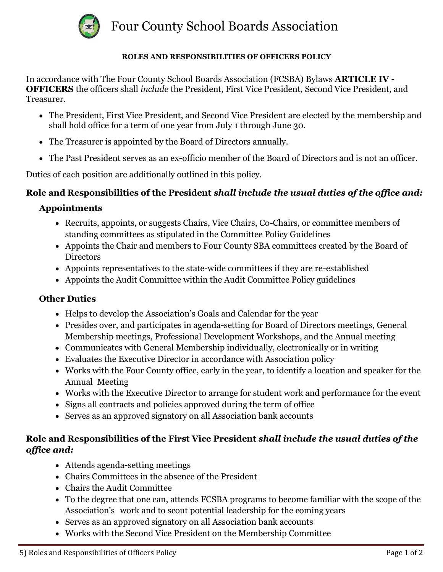

Four County School Boards Association

#### **ROLES AND RESPONSIBILITIES OF OFFICERS POLICY**

In accordance with The Four County School Boards Association (FCSBA) Bylaws **ARTICLE IV - OFFICERS** the officers shall *include* the President, First Vice President, Second Vice President, and Treasurer.

- The President, First Vice President, and Second Vice President are elected by the membership and shall hold office for a term of one year from July 1 through June 30.
- The Treasurer is appointed by the Board of Directors annually.
- The Past President serves as an ex-officio member of the Board of Directors and is not an officer.

Duties of each position are additionally outlined in this policy.

### **Role and Responsibilities of the President** *shall include the usual duties of the office and:*

### **Appointments**

- Recruits, appoints, or suggests Chairs, Vice Chairs, Co-Chairs, or committee members of standing committees as stipulated in the Committee Policy Guidelines
- Appoints the Chair and members to Four County SBA committees created by the Board of **Directors**
- Appoints representatives to the state-wide committees if they are re-established
- Appoints the Audit Committee within the Audit Committee Policy guidelines

#### **Other Duties**

- Helps to develop the Association's Goals and Calendar for the year
- Presides over, and participates in agenda-setting for Board of Directors meetings, General Membership meetings, Professional Development Workshops, and the Annual meeting
- Communicates with General Membership individually, electronically or in writing
- Evaluates the Executive Director in accordance with Association policy
- Works with the Four County office, early in the year, to identify a location and speaker for the Annual Meeting
- Works with the Executive Director to arrange for student work and performance for the event
- Signs all contracts and policies approved during the term of office
- Serves as an approved signatory on all Association bank accounts

## **Role and Responsibilities of the First Vice President** *shall include the usual duties of the office and:*

- Attends agenda-setting meetings
- Chairs Committees in the absence of the President
- Chairs the Audit Committee
- To the degree that one can, attends FCSBA programs to become familiar with the scope of the Association's work and to scout potential leadership for the coming years
- Serves as an approved signatory on all Association bank accounts
- Works with the Second Vice President on the Membership Committee